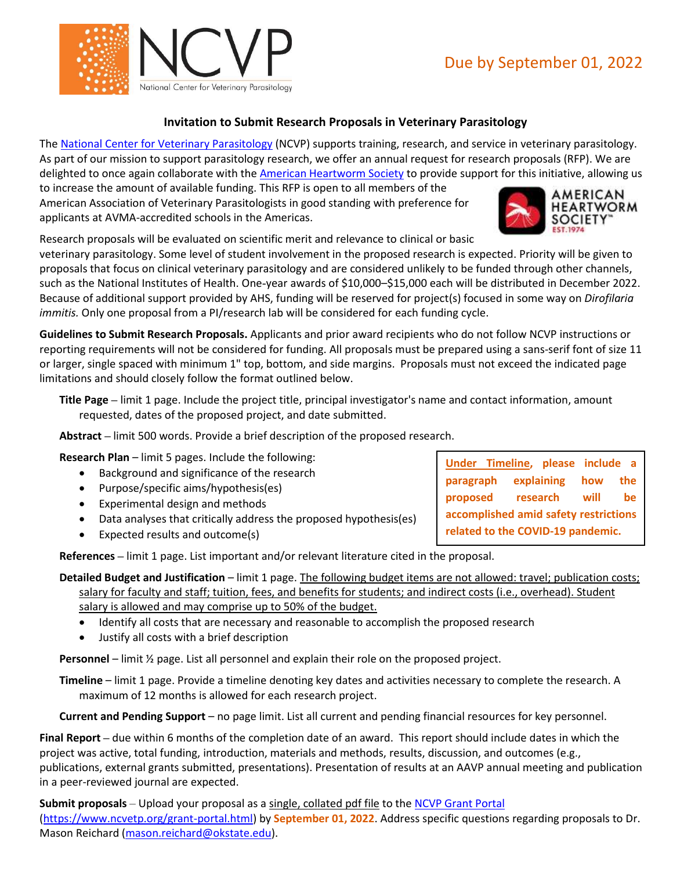

## **Invitation to Submit Research Proposals in Veterinary Parasitology**

The [National Center for Veterinary Parasitology](http://www.ncvetp.org/) (NCVP) supports training, research, and service in veterinary parasitology. As part of our mission to support parasitology research, we offer an annual request for research proposals (RFP). We are delighted to once again collaborate with the [American Heartworm Society](https://www.heartwormsociety.org/) to provide support for this initiative, allowing us

to increase the amount of available funding. This RFP is open to all members of the American Association of Veterinary Parasitologists in good standing with preference for applicants at AVMA-accredited schools in the Americas.

Research proposals will be evaluated on scientific merit and relevance to clinical or basic

veterinary parasitology. Some level of student involvement in the proposed research is expected. Priority will be given to proposals that focus on clinical veterinary parasitology and are considered unlikely to be funded through other channels, such as the National Institutes of Health. One-year awards of \$10,000–\$15,000 each will be distributed in December 2022. Because of additional support provided by AHS, funding will be reserved for project(s) focused in some way on *Dirofilaria immitis.* Only one proposal from a PI/research lab will be considered for each funding cycle.

**Guidelines to Submit Research Proposals.** Applicants and prior award recipients who do not follow NCVP instructions or reporting requirements will not be considered for funding. All proposals must be prepared using a sans-serif font of size 11 or larger, single spaced with minimum 1" top, bottom, and side margins. Proposals must not exceed the indicated page limitations and should closely follow the format outlined below.

**Title Page –** limit 1 page. Include the project title, principal investigator's name and contact information, amount requested, dates of the proposed project, and date submitted.

**Abstract –** limit 500 words. Provide a brief description of the proposed research.

**Research Plan** – limit 5 pages. Include the following:

- Background and significance of the research
- Purpose/specific aims/hypothesis(es)
- Experimental design and methods
- Data analyses that critically address the proposed hypothesis(es)
- Expected results and outcome(s)

**References –** limit 1 page. List important and/or relevant literature cited in the proposal.

- **Detailed Budget and Justification** limit 1 page. The following budget items are not allowed: travel; publication costs; salary for faculty and staff; tuition, fees, and benefits for students; and indirect costs (i.e., overhead). Student salary is allowed and may comprise up to 50% of the budget.
	- Identify all costs that are necessary and reasonable to accomplish the proposed research
	- Justify all costs with a brief description

**Personnel** – limit ½ page. List all personnel and explain their role on the proposed project.

**Timeline** – limit 1 page. Provide a timeline denoting key dates and activities necessary to complete the research. A maximum of 12 months is allowed for each research project.

**Current and Pending Support** – no page limit. List all current and pending financial resources for key personnel.

**Final Report –** due within 6 months of the completion date of an award. This report should include dates in which the project was active, total funding, introduction, materials and methods, results, discussion, and outcomes (e.g., publications, external grants submitted, presentations). Presentation of results at an AAVP annual meeting and publication in a peer-reviewed journal are expected.

**Submit proposals** – Upload your proposal as a single, collated pdf file to the [NCVP Grant Portal](https://www.ncvetp.org/grant-portal.html)

[\(https://www.ncvetp.org/grant-portal.html\)](https://www.ncvetp.org/grant-portal.html) by **September 01, 2022**. Address specific questions regarding proposals to Dr. Mason Reichard [\(mason.reichard@okstate.edu\)](mailto:mason.reichard@okstate.edu).